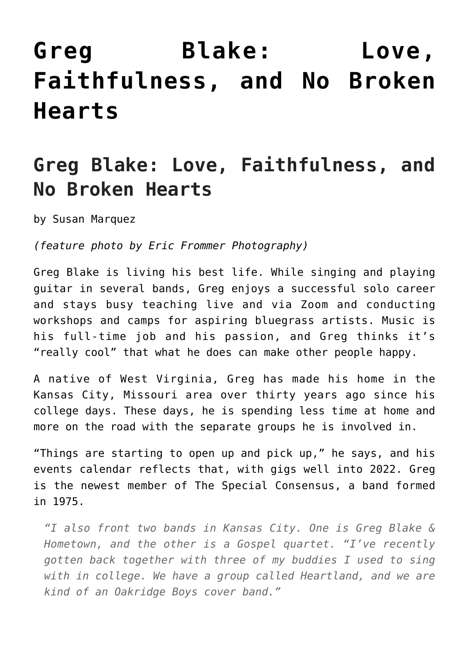## **[Greg Blake: Love,](https://thebluegrassstandard.com/greg-blake-love-faithfulness-and-no-broken-hearts/) [Faithfulness, and No Broken](https://thebluegrassstandard.com/greg-blake-love-faithfulness-and-no-broken-hearts/) [Hearts](https://thebluegrassstandard.com/greg-blake-love-faithfulness-and-no-broken-hearts/)**

## **Greg Blake: Love, Faithfulness, and No Broken Hearts**

by Susan Marquez

*(feature photo by Eric Frommer Photography)*

Greg Blake is living his best life. While singing and playing guitar in several bands, Greg enjoys a successful solo career and stays busy teaching live and via Zoom and conducting workshops and camps for aspiring bluegrass artists. Music is his full-time job and his passion, and Greg thinks it's "really cool" that what he does can make other people happy.

A native of West Virginia, Greg has made his home in the Kansas City, Missouri area over thirty years ago since his college days. These days, he is spending less time at home and more on the road with the separate groups he is involved in.

"Things are starting to open up and pick up," he says, and his events calendar reflects that, with gigs well into 2022. Greg is the newest member of The Special Consensus, a band formed in 1975.

*"I also front two bands in Kansas City. One is Greg Blake & Hometown, and the other is a Gospel quartet. "I've recently gotten back together with three of my buddies I used to sing with in college. We have a group called Heartland, and we are kind of an Oakridge Boys cover band."*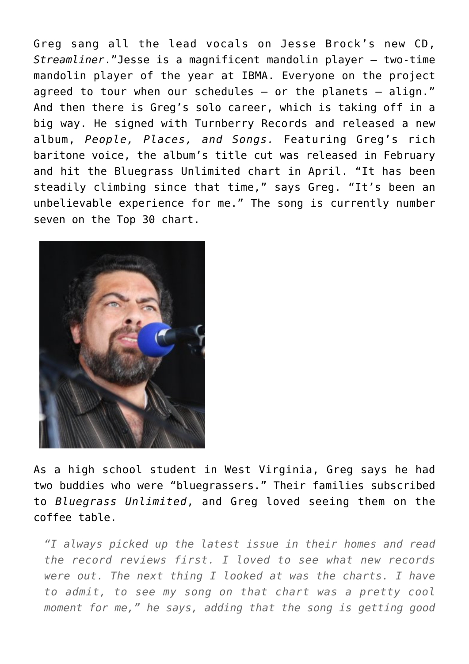Greg sang all the lead vocals on Jesse Brock's new CD, *Streamliner*."Jesse is a magnificent mandolin player – two-time mandolin player of the year at IBMA. Everyone on the project agreed to tour when our schedules  $-$  or the planets  $-$  align." And then there is Greg's solo career, which is taking off in a big way. He signed with Turnberry Records and released a new album, *People, Places, and Songs.* Featuring Greg's rich baritone voice, the album's title cut was released in February and hit the Bluegrass Unlimited chart in April. "It has been steadily climbing since that time," says Greg. "It's been an unbelievable experience for me." The song is currently number seven on the Top 30 chart.



As a high school student in West Virginia, Greg says he had two buddies who were "bluegrassers." Their families subscribed to *Bluegrass Unlimited*, and Greg loved seeing them on the coffee table.

*"I always picked up the latest issue in their homes and read the record reviews first. I loved to see what new records were out. The next thing I looked at was the charts. I have to admit, to see my song on that chart was a pretty cool moment for me," he says, adding that the song is getting good*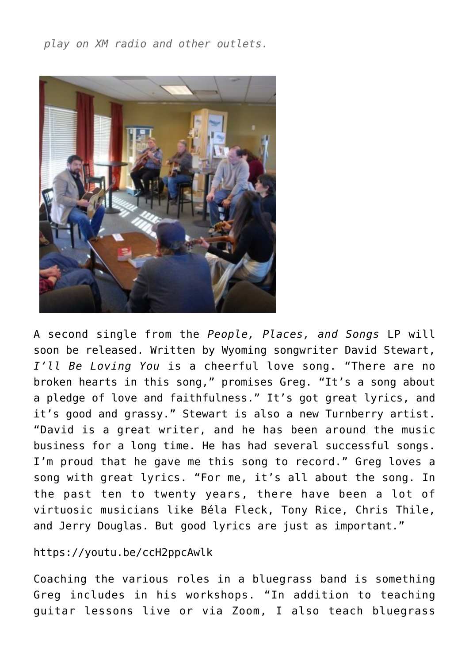*play on XM radio and other outlets.*



A second single from the *People, Places, and Songs* LP will soon be released. Written by Wyoming songwriter David Stewart, *I'll Be Loving You* is a cheerful love song. "There are no broken hearts in this song," promises Greg. "It's a song about a pledge of love and faithfulness." It's got great lyrics, and it's good and grassy." Stewart is also a new Turnberry artist. "David is a great writer, and he has been around the music business for a long time. He has had several successful songs. I'm proud that he gave me this song to record." Greg loves a song with great lyrics. "For me, it's all about the song. In the past ten to twenty years, there have been a lot of virtuosic musicians like Béla Fleck, Tony Rice, Chris Thile, and Jerry Douglas. But good lyrics are just as important."

## https://youtu.be/ccH2ppcAwlk

Coaching the various roles in a bluegrass band is something Greg includes in his workshops. "In addition to teaching guitar lessons live or via Zoom, I also teach bluegrass